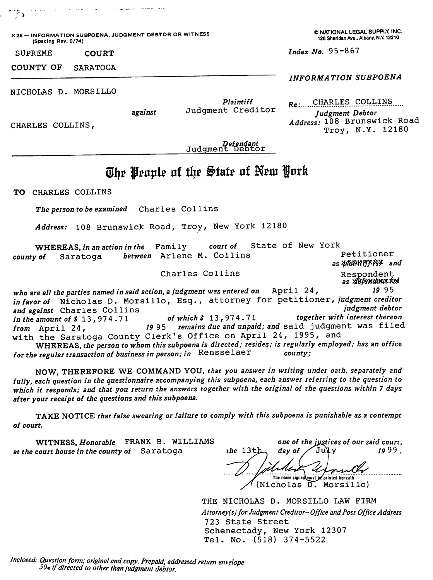X28 — INFORMATION SUBPOENA, JUDGMENT DEBTOR OR WITNESS (Spacing Rev. 9/74) SUPREME COURT COUNTY OF SARATOGA NICHOLAS D. MORSILLO CHARLES COLLINS, against Plaintiff Judgment Creditor Defendant<br>Judgment Debtor © NATIONAL LEGAL SUPPLY. INC. 126 Sheridan Ave.. Albany, N.Y. 12210 Index No.  $95 - 867$ INFORMATION SUBPOENA Re: CHARLES COLLINS Judgment Debtor Address: 108 Brunswick Road Troy, N.Y. 12180 The Peaple of the State of New York TO CHARLES COLLINS The person to be examined Charles Collins Address: 108 Brunswick Road, Troy, New York 12180 WHEREAS, in an action in the Family court of State of New York<br>county of Saratoga between Arlene M. Collins between Arlene M. Collins Charles Collins Petitioner as *plawny* Key and Respondent<br>*as xisfendan*xkyl who are all the parties named in said action, a judgment was entered on  $\Delta$ pril 24,  $\sim$  1995 in favor of Nicholas D. Morsillo, Esq., attorney for petitioner, judgment creditor<br>and against Charles Collins and against Charles Collins<br>in the amount of \$13,974.71 of which \$13,974.71 together with interest thereon in the amount of  $$13,974.71$  (<br>from April 24,  $1995$ remains due and unpaid; and said judgment was filed with the Saratoga County Clerk's Office on April 24, 1995, and WHEREAS, the person to whom this subpoena is directed; resides; is regularly employed; has an office  $_{\text{e}}$  regular transaction of business in person: in Rensselaer county; for the regular transaction of business in person; in Rensselaer

NOW, THEREFORE WE COMMAND YOU, that you answer in writing under oath, separately and<br>fully, each question in the questionnaire accompanying this subpoena, each answer referring to the question to fully, each question in the questionnaire accompanying this subpoena, each answer referring to the question to which it responds; and that you return the answers together with the original of the questions within 7 days after your receipt of the questions and this subpoena.

TAKE NOTICE that false swearing or failure to comply with this subpoena is punishable as a contempt of court.

WITNESS, Honorable FRANK B. WILLIAMS at the court house in the county of Saratoga the 13th

 $\cdot$ 

one of the justices of our said court,<br>day of  $\int \text{U} \psi$ day of The name signed must be printed beneath  $(Nicholas \n $\overline{D}$ . Morsillo)$ 

THE NICHOLAS D. MORSILLO LAW FIRM Attorney(s) for Judgment Creditor-Office and Post Office Address 723 State Street Schenectady, New York 12307  $Tel. No. (518) 374-5522$ 

Inclosed: Question form; original and copy. Prepaid, addressed return envelope  $50$  aif directed to other than judgment debtor.